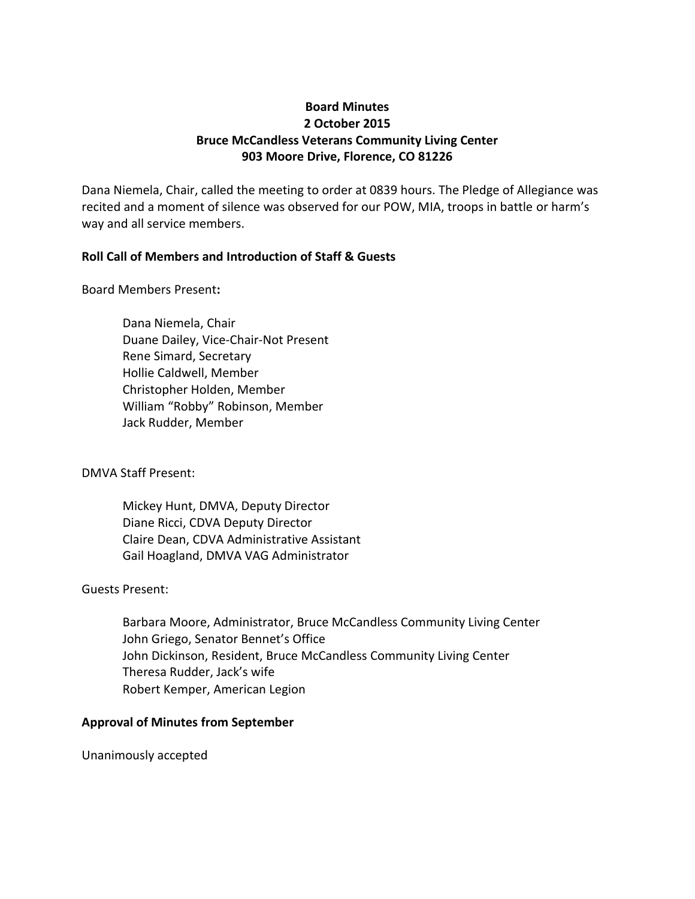# **Board Minutes 2 October 2015 Bruce McCandless Veterans Community Living Center 903 Moore Drive, Florence, CO 81226**

Dana Niemela, Chair, called the meeting to order at 0839 hours. The Pledge of Allegiance was recited and a moment of silence was observed for our POW, MIA, troops in battle or harm's way and all service members.

# **Roll Call of Members and Introduction of Staff & Guests**

Board Members Present**:**

Dana Niemela, Chair Duane Dailey, Vice-Chair-Not Present Rene Simard, Secretary Hollie Caldwell, Member Christopher Holden, Member William "Robby" Robinson, Member Jack Rudder, Member

DMVA Staff Present:

Mickey Hunt, DMVA, Deputy Director Diane Ricci, CDVA Deputy Director Claire Dean, CDVA Administrative Assistant Gail Hoagland, DMVA VAG Administrator

# Guests Present:

Barbara Moore, Administrator, Bruce McCandless Community Living Center John Griego, Senator Bennet's Office John Dickinson, Resident, Bruce McCandless Community Living Center Theresa Rudder, Jack's wife Robert Kemper, American Legion

### **Approval of Minutes from September**

Unanimously accepted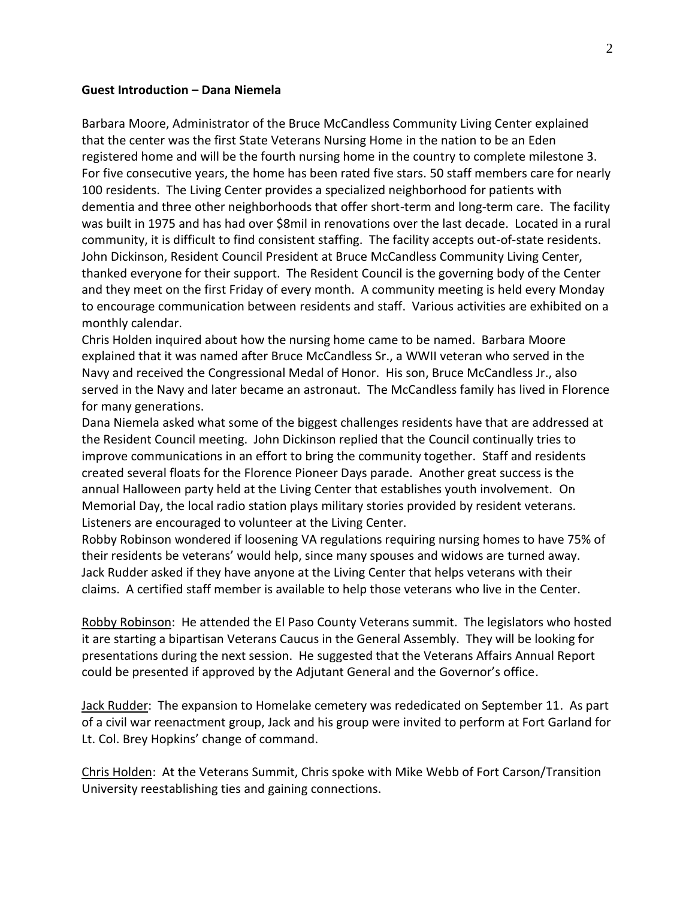#### **Guest Introduction – Dana Niemela**

Barbara Moore, Administrator of the Bruce McCandless Community Living Center explained that the center was the first State Veterans Nursing Home in the nation to be an Eden registered home and will be the fourth nursing home in the country to complete milestone 3. For five consecutive years, the home has been rated five stars. 50 staff members care for nearly 100 residents. The Living Center provides a specialized neighborhood for patients with dementia and three other neighborhoods that offer short-term and long-term care. The facility was built in 1975 and has had over \$8mil in renovations over the last decade. Located in a rural community, it is difficult to find consistent staffing. The facility accepts out-of-state residents. John Dickinson, Resident Council President at Bruce McCandless Community Living Center, thanked everyone for their support. The Resident Council is the governing body of the Center and they meet on the first Friday of every month. A community meeting is held every Monday to encourage communication between residents and staff. Various activities are exhibited on a monthly calendar.

Chris Holden inquired about how the nursing home came to be named. Barbara Moore explained that it was named after Bruce McCandless Sr., a WWII veteran who served in the Navy and received the Congressional Medal of Honor. His son, Bruce McCandless Jr., also served in the Navy and later became an astronaut. The McCandless family has lived in Florence for many generations.

Dana Niemela asked what some of the biggest challenges residents have that are addressed at the Resident Council meeting. John Dickinson replied that the Council continually tries to improve communications in an effort to bring the community together. Staff and residents created several floats for the Florence Pioneer Days parade. Another great success is the annual Halloween party held at the Living Center that establishes youth involvement. On Memorial Day, the local radio station plays military stories provided by resident veterans. Listeners are encouraged to volunteer at the Living Center.

Robby Robinson wondered if loosening VA regulations requiring nursing homes to have 75% of their residents be veterans' would help, since many spouses and widows are turned away. Jack Rudder asked if they have anyone at the Living Center that helps veterans with their claims. A certified staff member is available to help those veterans who live in the Center.

Robby Robinson: He attended the El Paso County Veterans summit. The legislators who hosted it are starting a bipartisan Veterans Caucus in the General Assembly. They will be looking for presentations during the next session. He suggested that the Veterans Affairs Annual Report could be presented if approved by the Adjutant General and the Governor's office.

Jack Rudder: The expansion to Homelake cemetery was rededicated on September 11. As part of a civil war reenactment group, Jack and his group were invited to perform at Fort Garland for Lt. Col. Brey Hopkins' change of command.

Chris Holden: At the Veterans Summit, Chris spoke with Mike Webb of Fort Carson/Transition University reestablishing ties and gaining connections.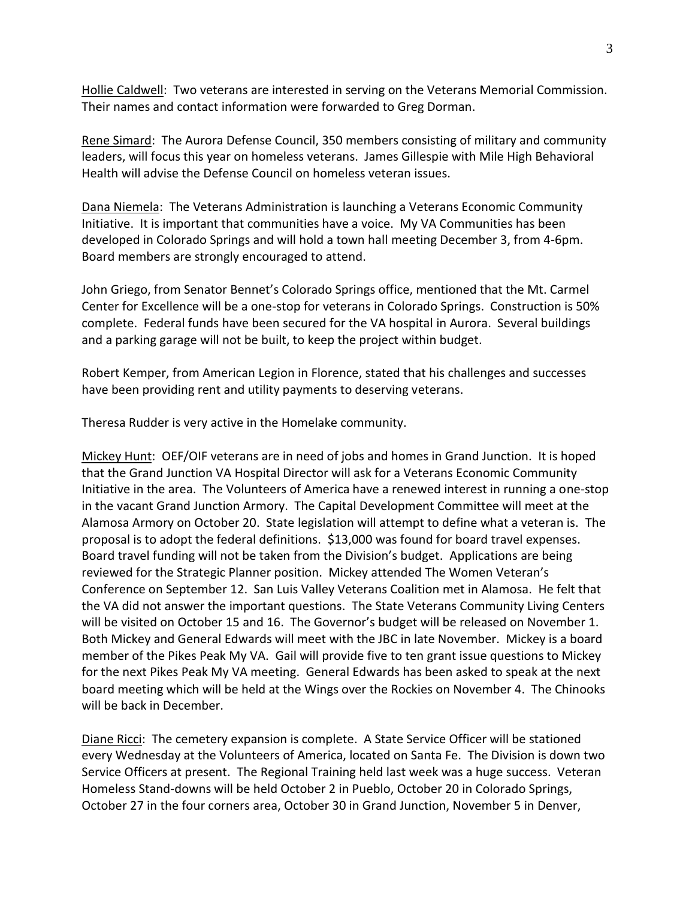Hollie Caldwell: Two veterans are interested in serving on the Veterans Memorial Commission. Their names and contact information were forwarded to Greg Dorman.

Rene Simard: The Aurora Defense Council, 350 members consisting of military and community leaders, will focus this year on homeless veterans. James Gillespie with Mile High Behavioral Health will advise the Defense Council on homeless veteran issues.

Dana Niemela: The Veterans Administration is launching a Veterans Economic Community Initiative. It is important that communities have a voice. My VA Communities has been developed in Colorado Springs and will hold a town hall meeting December 3, from 4-6pm. Board members are strongly encouraged to attend.

John Griego, from Senator Bennet's Colorado Springs office, mentioned that the Mt. Carmel Center for Excellence will be a one-stop for veterans in Colorado Springs. Construction is 50% complete. Federal funds have been secured for the VA hospital in Aurora. Several buildings and a parking garage will not be built, to keep the project within budget.

Robert Kemper, from American Legion in Florence, stated that his challenges and successes have been providing rent and utility payments to deserving veterans.

Theresa Rudder is very active in the Homelake community.

Mickey Hunt: OEF/OIF veterans are in need of jobs and homes in Grand Junction. It is hoped that the Grand Junction VA Hospital Director will ask for a Veterans Economic Community Initiative in the area. The Volunteers of America have a renewed interest in running a one-stop in the vacant Grand Junction Armory. The Capital Development Committee will meet at the Alamosa Armory on October 20. State legislation will attempt to define what a veteran is. The proposal is to adopt the federal definitions. \$13,000 was found for board travel expenses. Board travel funding will not be taken from the Division's budget. Applications are being reviewed for the Strategic Planner position. Mickey attended The Women Veteran's Conference on September 12. San Luis Valley Veterans Coalition met in Alamosa. He felt that the VA did not answer the important questions. The State Veterans Community Living Centers will be visited on October 15 and 16. The Governor's budget will be released on November 1. Both Mickey and General Edwards will meet with the JBC in late November. Mickey is a board member of the Pikes Peak My VA. Gail will provide five to ten grant issue questions to Mickey for the next Pikes Peak My VA meeting. General Edwards has been asked to speak at the next board meeting which will be held at the Wings over the Rockies on November 4. The Chinooks will be back in December.

Diane Ricci: The cemetery expansion is complete. A State Service Officer will be stationed every Wednesday at the Volunteers of America, located on Santa Fe. The Division is down two Service Officers at present. The Regional Training held last week was a huge success. Veteran Homeless Stand-downs will be held October 2 in Pueblo, October 20 in Colorado Springs, October 27 in the four corners area, October 30 in Grand Junction, November 5 in Denver,